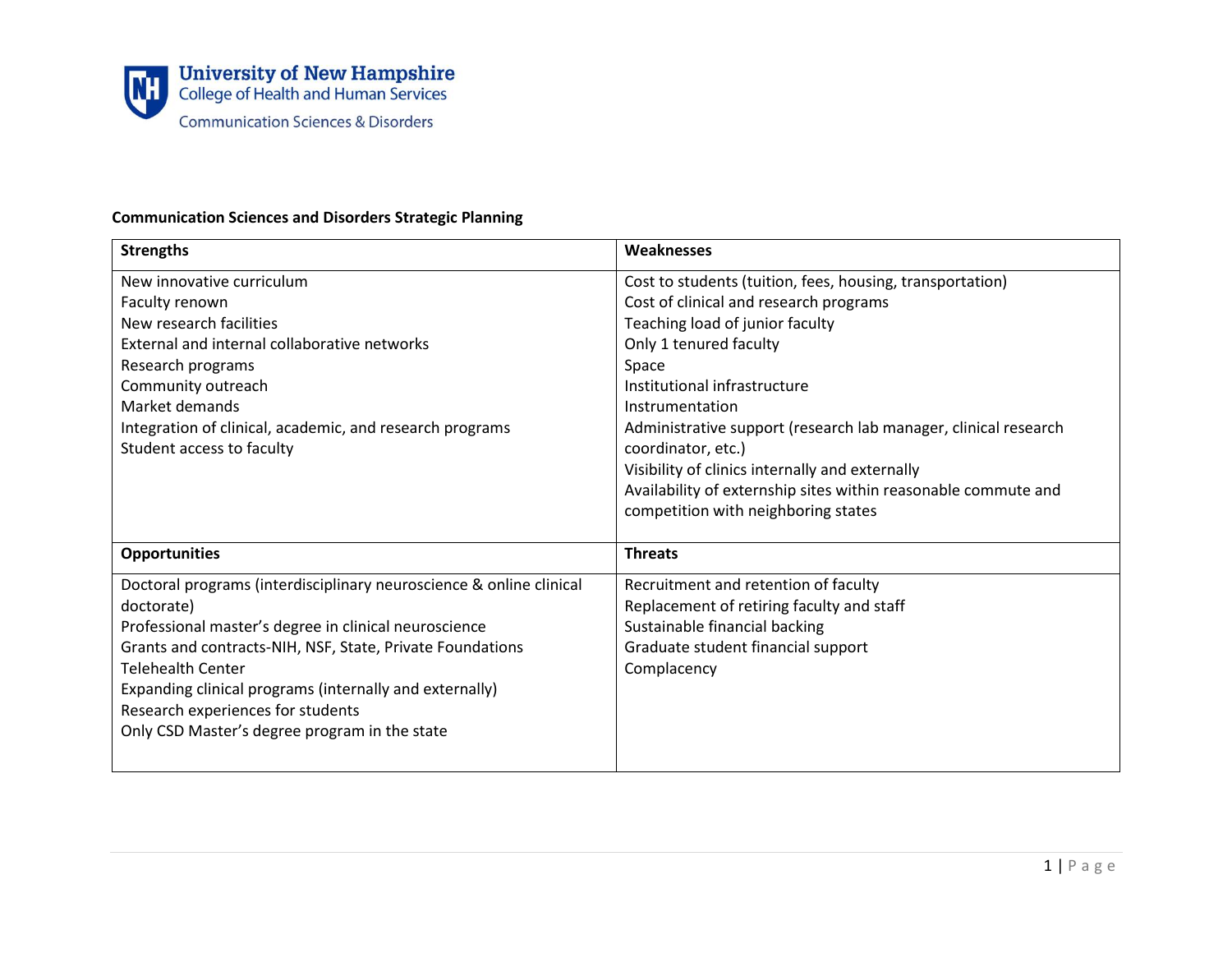

## **Communication Sciences and Disorders Strategic Planning**

| <b>Strengths</b>                                                    | Weaknesses                                                      |
|---------------------------------------------------------------------|-----------------------------------------------------------------|
| New innovative curriculum                                           | Cost to students (tuition, fees, housing, transportation)       |
| Faculty renown                                                      | Cost of clinical and research programs                          |
| New research facilities                                             | Teaching load of junior faculty                                 |
| External and internal collaborative networks                        | Only 1 tenured faculty                                          |
| Research programs                                                   | Space                                                           |
| Community outreach                                                  | Institutional infrastructure                                    |
| Market demands                                                      | Instrumentation                                                 |
| Integration of clinical, academic, and research programs            | Administrative support (research lab manager, clinical research |
| Student access to faculty                                           | coordinator, etc.)                                              |
|                                                                     | Visibility of clinics internally and externally                 |
|                                                                     | Availability of externship sites within reasonable commute and  |
|                                                                     | competition with neighboring states                             |
|                                                                     |                                                                 |
| <b>Opportunities</b>                                                | <b>Threats</b>                                                  |
| Doctoral programs (interdisciplinary neuroscience & online clinical | Recruitment and retention of faculty                            |
| doctorate)                                                          | Replacement of retiring faculty and staff                       |
| Professional master's degree in clinical neuroscience               | Sustainable financial backing                                   |
| Grants and contracts-NIH, NSF, State, Private Foundations           | Graduate student financial support                              |
| <b>Telehealth Center</b>                                            | Complacency                                                     |
| Expanding clinical programs (internally and externally)             |                                                                 |
| Research experiences for students                                   |                                                                 |
| Only CSD Master's degree program in the state                       |                                                                 |
|                                                                     |                                                                 |